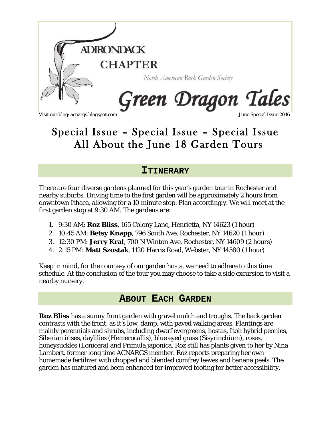

# Special Issue – Special Issue – Special Issue All About the June 18 Garden Tours

## **ITINERARY**

There are four diverse gardens planned for this year's garden tour in Rochester and nearby suburbs. Driving time to the first garden will be approximately 2 hours from downtown Ithaca, allowing for a 10 minute stop. Plan accordingly. We will meet at the first garden stop at 9:30 AM. The gardens are:

- 1. 9:30 AM: **Roz Bliss**, 165 Colony Lane, Henrietta, NY 14623 (1 hour)
- 2. 10:45 AM: **Betsy Knapp**, 796 South Ave, Rochester, NY 14620 (1 hour)
- 3. 12:30 PM: **Jerry Kral**, 700 N Winton Ave, Rochester, NY 14609 (2 hours)
- 4. 2:15 PM: **Matt Szostak**, 1120 Harris Road, Webster, NY 14580 (1 hour)

Keep in mind, for the courtesy of our garden hosts, we need to adhere to this time schedule. At the conclusion of the tour you may choose to take a side excursion to visit a nearby nursery.

# **ABOUT EACH GARDEN**

**Roz Bliss** has a sunny front garden with gravel mulch and troughs. The back garden contrasts with the front, as it's low, damp, with paved walking areas. Plantings are mainly perennials and shrubs, including dwarf evergreens, hostas, Itoh hybrid peonies, Siberian irises, daylilies (Hemerocallis), blue eyed grass (Sisyrinchium), roses, honeysuckles (Lonicera) and Primula japonica. Roz still has plants given to her by Nina Lambert, former long time ACNARGS member. Roz reports preparing her own homemade fertilizer with chopped and blended comfrey leaves and banana peels. The garden has matured and been enhanced for improved footing for better accessibility.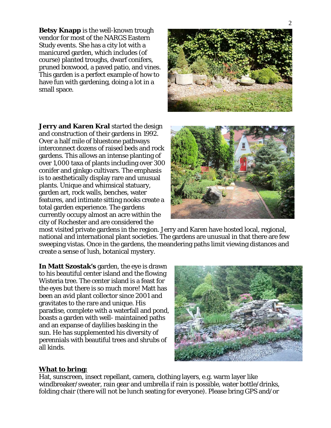**Betsy Knapp** is the well-known trough vendor for most of the NARGS Eastern Study events. She has a city lot with a manicured garden, which includes (of course) planted troughs, dwarf conifers, pruned boxwood, a paved patio, and vines. This garden is a perfect example of how to have fun with gardening, doing a lot in a small space.

**Jerry and Karen Kral** started the design and construction of their gardens in 1992. Over a half mile of bluestone pathways interconnect dozens of raised beds and rock gardens. This allows an intense planting of over 1,000 taxa of plants including over 300 conifer and ginkgo cultivars. The emphasis is to aesthetically display rare and unusual plants. Unique and whimsical statuary, garden art, rock walls, benches, water features, and intimate sitting nooks create a total garden experience. The gardens currently occupy almost an acre within the city of Rochester and are considered the



most visited private gardens in the region. Jerry and Karen have hosted local, regional, national and international plant societies. The gardens are unusual in that there are few sweeping vistas. Once in the gardens, the meandering paths limit viewing distances and create a sense of lush, botanical mystery.

**In Matt Szostak's** garden, the eye is drawn to his beautiful center island and the flowing Wisteria tree. The center island is a feast for the eyes but there is so much more! Matt has been an avid plant collector since 2001 and gravitates to the rare and unique. His paradise, complete with a waterfall and pond, boasts a garden with well- maintained paths and an expanse of daylilies basking in the sun. He has supplemented his diversity of perennials with beautiful trees and shrubs of all kinds.



#### **What to bring:**

Hat, sunscreen, insect repellant, camera, clothing layers, e.g. warm layer like windbreaker/sweater, rain gear and umbrella if rain is possible, water bottle/drinks, folding chair (there will not be lunch seating for everyone). Please bring GPS and/or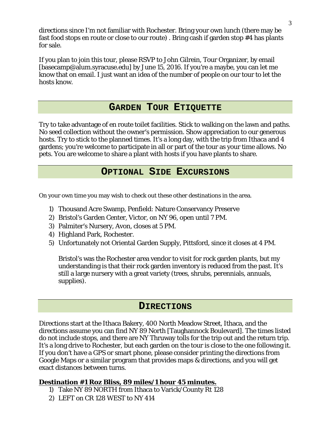directions since I'm not familiar with Rochester. Bring your own lunch (there may be fast food stops en route or close to our route) . Bring cash if garden stop #4 has plants for sale.

If you plan to join this tour, please RSVP to John Gilrein, Tour Organizer, by email [basecamp@alum.syracuse.edu] by June 15, 2016. If you're a maybe, you can let me know that on email. I just want an idea of the number of people on our tour to let the hosts know.

## **GARDEN TOUR ETIQUETTE**

Try to take advantage of en route toilet facilities. Stick to walking on the lawn and paths. No seed collection without the owner's permission. Show appreciation to our generous hosts. Try to stick to the planned times. It's a long day, with the trip from Ithaca and 4 gardens; you're welcome to participate in all or part of the tour as your time allows. No pets. You are welcome to share a plant with hosts if you have plants to share.

## **OPTIONAL SIDE EXCURSIONS**

On your own time you may wish to check out these other destinations in the area.

- 1) Thousand Acre Swamp, Penfield: Nature Conservancy Preserve
- 2) Bristol's Garden Center, Victor, on NY 96, open until 7 PM.
- 3) Palmiter's Nursery, Avon, closes at 5 PM.
- 4) Highland Park, Rochester.
- 5) Unfortunately not Oriental Garden Supply, Pittsford, since it closes at 4 PM.

Bristol's was the Rochester area vendor to visit for rock garden plants, but my understanding is that their rock garden inventory is reduced from the past. It's still a large nursery with a great variety (trees, shrubs, perennials, annuals, supplies).

### **DIRECTIONS**

Directions start at the Ithaca Bakery, 400 North Meadow Street, Ithaca, and the directions assume you can find NY 89 North [Taughannock Boulevard]. The times listed do not include stops, and there are NY Thruway tolls for the trip out and the return trip. It's a long drive to Rochester, but each garden on the tour is close to the one following it. If you don't have a GPS or smart phone, please consider printing the directions from Google Maps or a similar program that provides maps & directions, and you will get exact distances between turns.

**Destination #1 Roz Bliss, 89 miles/1 hour 45 minutes.** 

- 1) Take NY 89 NORTH from Ithaca to Varick/County Rt 128
	- 2) LEFT on CR 128 WEST to NY 414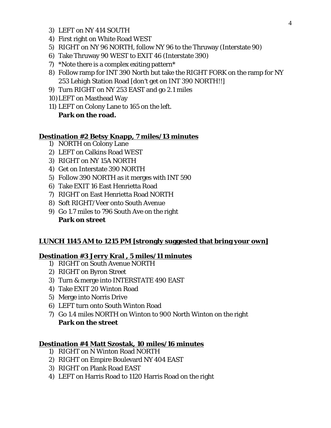- 3) LEFT on NY 414 SOUTH
- 4) First right on White Road WEST
- 5) RIGHT on NY 96 NORTH, follow NY 96 to the Thruway (Interstate 90)
- 6) Take Thruway 90 WEST to EXIT 46 (Interstate 390)
- 7) \*Note there is a complex exiting pattern\*
- 8) Follow ramp for INT 390 North but take the RIGHT FORK on the ramp for NY 253 Lehigh Station Road [don't get on INT 390 NORTH!!]
- 9) Turn RIGHT on NY 253 EAST and go 2.1 miles
- 10)LEFT on Masthead Way
- 11) LEFT on Colony Lane to 165 on the left. **Park on the road.**

#### **Destination #2 Betsy Knapp, 7 miles/13 minutes**

- 1) NORTH on Colony Lane
- 2) LEFT on Calkins Road WEST
- 3) RIGHT on NY 15A NORTH
- 4) Get on Interstate 390 NORTH
- 5) Follow 390 NORTH as it merges with INT 590
- 6) Take EXIT 16 East Henrietta Road
- 7) RIGHT on East Henrietta Road NORTH
- 8) Soft RIGHT/Veer onto South Avenue
- 9) Go 1.7 miles to 796 South Ave on the right **Park on street**

#### **LUNCH 1145 AM to 1215 PM [strongly suggested that bring your own]**

**Destination #3 Jerry Kral , 5 miles/11 minutes** 

- 1) RIGHT on South Avenue NORTH
- 2) RIGHT on Byron Street
- 3) Turn & merge into INTERSTATE 490 EAST
- 4) Take EXIT 20 Winton Road
- 5) Merge into Norris Drive
- 6) LEFT turn onto South Winton Road
- 7) Go 1.4 miles NORTH on Winton to 900 North Winton on the right **Park on the street**

**Destination #4 Matt Szostak, 10 miles/16 minutes** 

- 1) RIGHT on N Winton Road NORTH
- 2) RIGHT on Empire Boulevard NY 404 EAST
- 3) RIGHT on Plank Road EAST
- 4) LEFT on Harris Road to 1120 Harris Road on the right